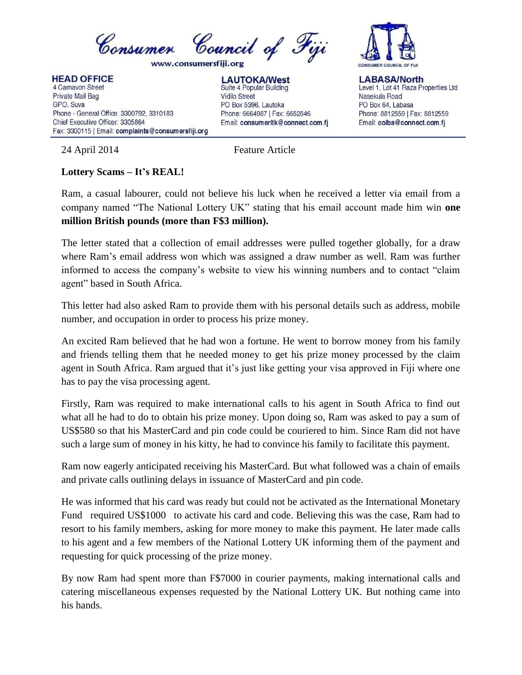

**HEAD OFFICE** 4 Carnavon Street Private Mail Bag GPO, Suva Phone - General Office: 3300792, 3310183 Chief Executive Officer: 3305864 Fax: 3300115 | Email: complaints@consumersfiji.org

**LAUTOKA/West** Suite 4 Popular Building **Vidilo Street** PO Box 5396, Lautoka Phone: 6664987 | Fax: 6652846 Email: consumerItk@connect.com.fj



**LABASA/North** Level 1, Lot 41 Raza Properties Ltd Nasekula Road PO Box 64, Labasa Phone: 8812559 | Fax: 8812559 Email: colbs@connect.com.fj

24 April 2014 Feature Article

## **Lottery Scams – It's REAL!**

Ram, a casual labourer, could not believe his luck when he received a letter via email from a company named "The National Lottery UK" stating that his email account made him win **one million British pounds (more than F\$3 million).**

The letter stated that a collection of email addresses were pulled together globally, for a draw where Ram's email address won which was assigned a draw number as well. Ram was further informed to access the company's website to view his winning numbers and to contact "claim agent" based in South Africa.

This letter had also asked Ram to provide them with his personal details such as address, mobile number, and occupation in order to process his prize money.

An excited Ram believed that he had won a fortune. He went to borrow money from his family and friends telling them that he needed money to get his prize money processed by the claim agent in South Africa. Ram argued that it's just like getting your visa approved in Fiji where one has to pay the visa processing agent.

Firstly, Ram was required to make international calls to his agent in South Africa to find out what all he had to do to obtain his prize money. Upon doing so, Ram was asked to pay a sum of US\$580 so that his MasterCard and pin code could be couriered to him. Since Ram did not have such a large sum of money in his kitty, he had to convince his family to facilitate this payment.

Ram now eagerly anticipated receiving his MasterCard. But what followed was a chain of emails and private calls outlining delays in issuance of MasterCard and pin code.

He was informed that his card was ready but could not be activated as the International Monetary Fund required US\$1000 to activate his card and code. Believing this was the case, Ram had to resort to his family members, asking for more money to make this payment. He later made calls to his agent and a few members of the National Lottery UK informing them of the payment and requesting for quick processing of the prize money.

By now Ram had spent more than F\$7000 in courier payments, making international calls and catering miscellaneous expenses requested by the National Lottery UK. But nothing came into his hands.